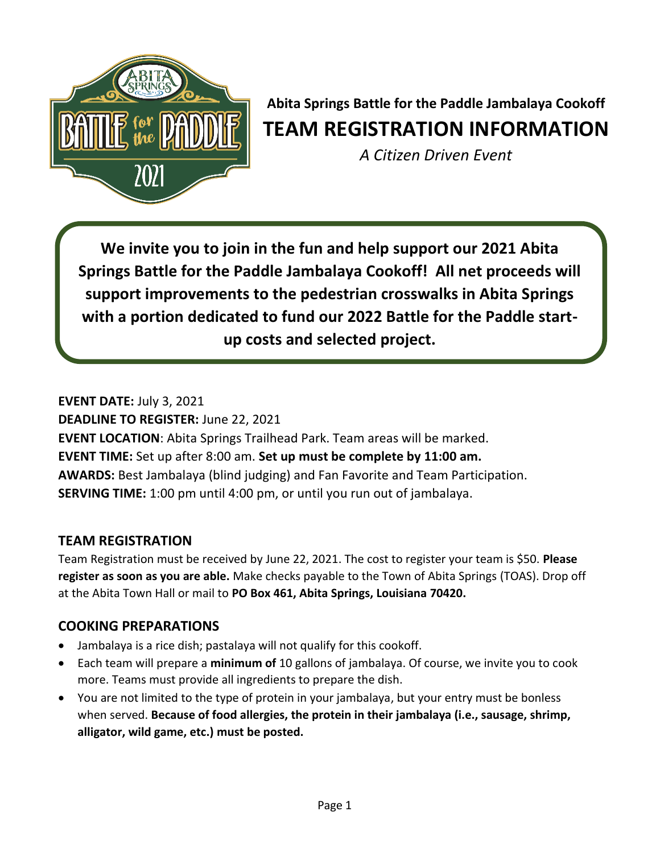

# **Abita Springs Battle for the Paddle Jambalaya Cookoff TEAM REGISTRATION INFORMATION**

*A Citizen Driven Event*

**We invite you to join in the fun and help support our 2021 Abita Springs Battle for the Paddle Jambalaya Cookoff! All net proceeds will support improvements to the pedestrian crosswalks in Abita Springs with a portion dedicated to fund our 2022 Battle for the Paddle startup costs and selected project.**

**EVENT DATE:** July 3, 2021 **DEADLINE TO REGISTER:** June 22, 2021 **EVENT LOCATION**: Abita Springs Trailhead Park. Team areas will be marked. **EVENT TIME:** Set up after 8:00 am. **Set up must be complete by 11:00 am. AWARDS:** Best Jambalaya (blind judging) and Fan Favorite and Team Participation. **SERVING TIME:** 1:00 pm until 4:00 pm, or until you run out of jambalaya.

## **TEAM REGISTRATION**

Team Registration must be received by June 22, 2021. The cost to register your team is \$50. **Please register as soon as you are able.** Make checks payable to the Town of Abita Springs (TOAS). Drop off at the Abita Town Hall or mail to **PO Box 461, Abita Springs, Louisiana 70420.** 

# **COOKING PREPARATIONS**

- Jambalaya is a rice dish; pastalaya will not qualify for this cookoff.
- Each team will prepare a **minimum of** 10 gallons of jambalaya. Of course, we invite you to cook more. Teams must provide all ingredients to prepare the dish.
- You are not limited to the type of protein in your jambalaya, but your entry must be bonless when served. **Because of food allergies, the protein in their jambalaya (i.e., sausage, shrimp, alligator, wild game, etc.) must be posted.**